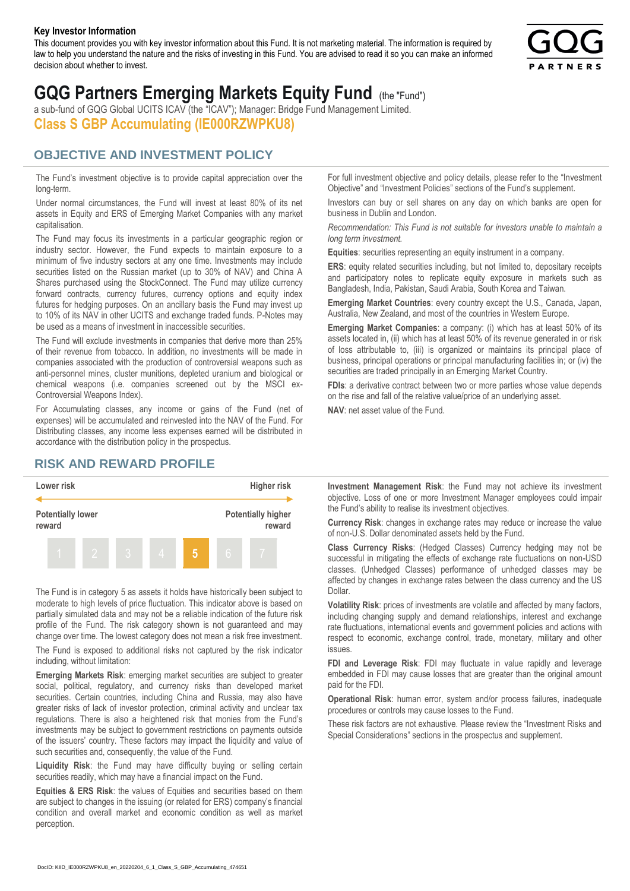#### **Key Investor Information**

This document provides you with key investor information about this Fund. It is not marketing material. The information is required by law to help you understand the nature and the risks of investing in this Fund. You are advised to read it so you can make an informed decision about whether to invest.



# **GQG Partners Emerging Markets Equity Fund** (the "Fund")

a sub-fund of GQG Global UCITS ICAV (the "ICAV"); Manager: Bridge Fund Management Limited. **Class S GBP Accumulating (IE000RZWPKU8)**

#### **OBJECTIVE AND INVESTMENT POLICY**

The Fund's investment objective is to provide capital appreciation over the long-term.

Under normal circumstances, the Fund will invest at least 80% of its net assets in Equity and ERS of Emerging Market Companies with any market capitalisation.

The Fund may focus its investments in a particular geographic region or industry sector. However, the Fund expects to maintain exposure to a minimum of five industry sectors at any one time. Investments may include securities listed on the Russian market (up to 30% of NAV) and China A Shares purchased using the StockConnect. The Fund may utilize currency forward contracts, currency futures, currency options and equity index futures for hedging purposes. On an ancillary basis the Fund may invest up to 10% of its NAV in other UCITS and exchange traded funds. P-Notes may be used as a means of investment in inaccessible securities.

The Fund will exclude investments in companies that derive more than 25% of their revenue from tobacco. In addition, no investments will be made in companies associated with the production of controversial weapons such as anti-personnel mines, cluster munitions, depleted uranium and biological or chemical weapons (i.e. companies screened out by the MSCI ex-Controversial Weapons Index).

For Accumulating classes, any income or gains of the Fund (net of expenses) will be accumulated and reinvested into the NAV of the Fund. For Distributing classes, any income less expenses earned will be distributed in accordance with the distribution policy in the prospectus.

### **RISK AND REWARD PROFILE**



The Fund is in category 5 as assets it holds have historically been subject to moderate to high levels of price fluctuation. This indicator above is based on partially simulated data and may not be a reliable indication of the future risk profile of the Fund. The risk category shown is not guaranteed and may change over time. The lowest category does not mean a risk free investment.

The Fund is exposed to additional risks not captured by the risk indicator including, without limitation:

**Emerging Markets Risk**: emerging market securities are subject to greater social, political, regulatory, and currency risks than developed market securities. Certain countries, including China and Russia, may also have greater risks of lack of investor protection, criminal activity and unclear tax regulations. There is also a heightened risk that monies from the Fund's investments may be subject to government restrictions on payments outside of the issuers' country. These factors may impact the liquidity and value of such securities and, consequently, the value of the Fund.

**Liquidity Risk**: the Fund may have difficulty buying or selling certain securities readily, which may have a financial impact on the Fund.

**Equities & ERS Risk**: the values of Equities and securities based on them are subject to changes in the issuing (or related for ERS) company's financial condition and overall market and economic condition as well as market perception.

For full investment objective and policy details, please refer to the "Investment Objective" and "Investment Policies" sections of the Fund's supplement.

Investors can buy or sell shares on any day on which banks are open for business in Dublin and London.

*Recommendation: This Fund is not suitable for investors unable to maintain a long term investment.*

**Equities**: securities representing an equity instrument in a company.

**ERS:** equity related securities including, but not limited to, depositary receipts and participatory notes to replicate equity exposure in markets such as Bangladesh, India, Pakistan, Saudi Arabia, South Korea and Taiwan.

**Emerging Market Countries**: every country except the U.S., Canada, Japan, Australia, New Zealand, and most of the countries in Western Europe.

**Emerging Market Companies**: a company: (i) which has at least 50% of its assets located in, (ii) which has at least 50% of its revenue generated in or risk of loss attributable to, (iii) is organized or maintains its principal place of business, principal operations or principal manufacturing facilities in; or (iv) the securities are traded principally in an Emerging Market Country.

**FDIs**: a derivative contract between two or more parties whose value depends on the rise and fall of the relative value/price of an underlying asset.

**NAV**: net asset value of the Fund.

**Investment Management Risk**: the Fund may not achieve its investment objective. Loss of one or more Investment Manager employees could impair the Fund's ability to realise its investment objectives.

**Currency Risk**: changes in exchange rates may reduce or increase the value of non-U.S. Dollar denominated assets held by the Fund.

**Class Currency Risks**: (Hedged Classes) Currency hedging may not be successful in mitigating the effects of exchange rate fluctuations on non-USD classes. (Unhedged Classes) performance of unhedged classes may be affected by changes in exchange rates between the class currency and the US Dollar.

**Volatility Risk**: prices of investments are volatile and affected by many factors, including changing supply and demand relationships, interest and exchange rate fluctuations, international events and government policies and actions with respect to economic, exchange control, trade, monetary, military and other issues.

**FDI and Leverage Risk**: FDI may fluctuate in value rapidly and leverage embedded in FDI may cause losses that are greater than the original amount paid for the FDI.

**Operational Risk**: human error, system and/or process failures, inadequate procedures or controls may cause losses to the Fund.

These risk factors are not exhaustive. Please review the "Investment Risks and Special Considerations" sections in the prospectus and supplement.